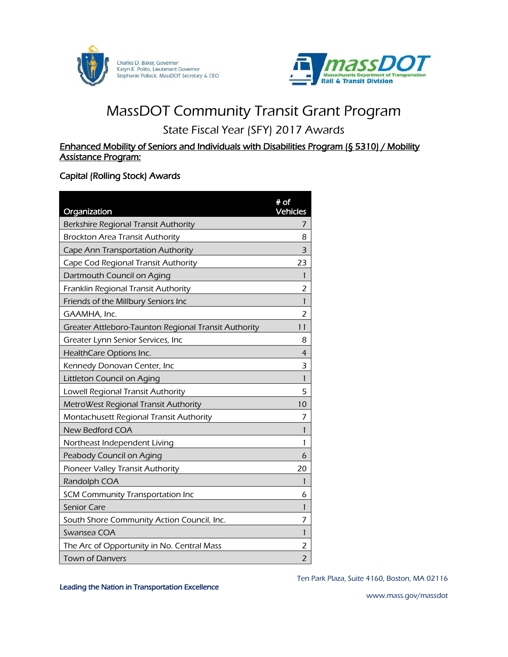



# MassDOT Community Transit Grant Program

# State Fiscal Year (SFY) 2017 Awards

#### Enhanced Mobility of Seniors and Individuals with Disabilities Program (§ 5310) / Mobility Assistance Program:

#### Capital (Rolling Stock) Awards

| Organization                                         | $#$ of<br><b>Vehicles</b> |
|------------------------------------------------------|---------------------------|
| Berkshire Regional Transit Authority                 | 7                         |
| <b>Brockton Area Transit Authority</b>               | 8                         |
| Cape Ann Transportation Authority                    | 3                         |
| Cape Cod Regional Transit Authority                  | 23                        |
| Dartmouth Council on Aging                           | 1                         |
| Franklin Regional Transit Authority                  | 2                         |
| Friends of the Millbury Seniors Inc                  | 1                         |
| GAAMHA, Inc.                                         | 2                         |
| Greater Attleboro-Taunton Regional Transit Authority | 11                        |
| Greater Lynn Senior Services, Inc                    | 8                         |
| HealthCare Options Inc.                              | $\overline{4}$            |
| Kennedy Donovan Center, Inc                          | 3                         |
| Littleton Council on Aging                           | 1                         |
| Lowell Regional Transit Authority                    | 5                         |
| MetroWest Regional Transit Authority                 | 10                        |
| Montachusett Regional Transit Authority              | 7                         |
| New Bedford COA                                      | 1                         |
| Northeast Independent Living                         | 1                         |
| Peabody Council on Aging                             | 6                         |
| Pioneer Valley Transit Authority                     | 20                        |
| Randolph COA                                         | 1                         |
| SCM Community Transportation Inc                     | 6                         |
| <b>Senior Care</b>                                   | 1                         |
| South Shore Community Action Council, Inc.           | 7                         |
| Swansea COA                                          | 1                         |
| The Arc of Opportunity in No. Central Mass           | 2                         |
| <b>Town of Danvers</b>                               | $\overline{2}$            |

Ten Park Plaza, Suite 4160, Boston, MA 02116

Leading the Nation in Transportation Excellence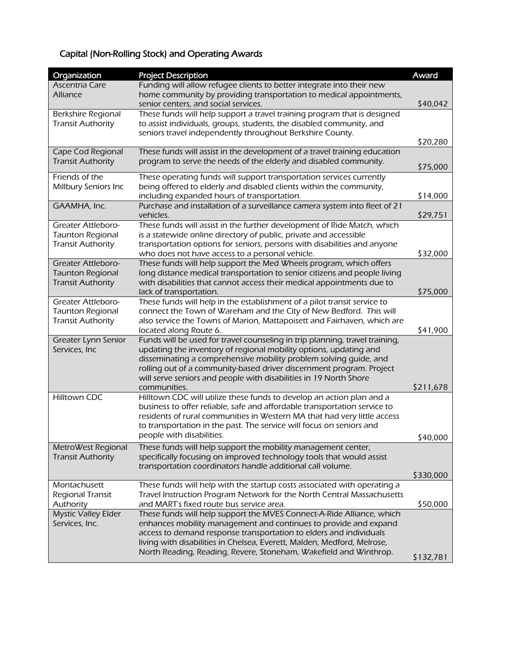## Capital (Non-Rolling Stock) and Operating Awards

| Organization                                        | <b>Project Description</b>                                                                                                                       | Award     |
|-----------------------------------------------------|--------------------------------------------------------------------------------------------------------------------------------------------------|-----------|
| Ascentria Care                                      | Funding will allow refugee clients to better integrate into their new                                                                            |           |
| Alliance                                            | home community by providing transportation to medical appointments,                                                                              |           |
|                                                     | senior centers, and social services.                                                                                                             | \$40,042  |
| Berkshire Regional<br><b>Transit Authority</b>      | These funds will help support a travel training program that is designed<br>to assist individuals, groups, students, the disabled community, and |           |
|                                                     | seniors travel independently throughout Berkshire County.                                                                                        |           |
|                                                     |                                                                                                                                                  | \$20,280  |
| Cape Cod Regional                                   | These funds will assist in the development of a travel training education                                                                        |           |
| <b>Transit Authority</b>                            | program to serve the needs of the elderly and disabled community.                                                                                | \$75,000  |
| Friends of the                                      | These operating funds will support transportation services currently                                                                             |           |
| Millbury Seniors Inc                                | being offered to elderly and disabled clients within the community,                                                                              |           |
|                                                     | including expanded hours of transportation.                                                                                                      | \$14,000  |
| GAAMHA, Inc.                                        | Purchase and installation of a surveillance camera system into fleet of 21                                                                       |           |
|                                                     | vehicles.                                                                                                                                        | \$29,751  |
| <b>Greater Attleboro-</b>                           | These funds will assist in the further development of Ride Match, which                                                                          |           |
| <b>Taunton Regional</b><br><b>Transit Authority</b> | is a statewide online directory of public, private and accessible<br>transportation options for seniors, persons with disabilities and anyone    |           |
|                                                     | who does not have access to a personal vehicle.                                                                                                  | \$32,000  |
| <b>Greater Attleboro-</b>                           | These funds will help support the Med Wheels program, which offers                                                                               |           |
| <b>Taunton Regional</b>                             | long distance medical transportation to senior citizens and people living                                                                        |           |
| <b>Transit Authority</b>                            | with disabilities that cannot access their medical appointments due to                                                                           |           |
|                                                     | lack of transportation.                                                                                                                          | \$75,000  |
| <b>Greater Attleboro-</b>                           | These funds will help in the establishment of a pilot transit service to<br>connect the Town of Wareham and the City of New Bedford. This will   |           |
| <b>Taunton Regional</b><br><b>Transit Authority</b> | also service the Towns of Marion, Mattapoisett and Fairhaven, which are                                                                          |           |
|                                                     | located along Route 6.                                                                                                                           | \$41,900  |
| Greater Lynn Senior                                 | Funds will be used for travel counseling in trip planning, travel training,                                                                      |           |
| Services, Inc                                       | updating the inventory of regional mobility options, updating and                                                                                |           |
|                                                     | disseminating a comprehensive mobility problem solving quide, and                                                                                |           |
|                                                     | rolling out of a community-based driver discernment program. Project<br>will serve seniors and people with disabilities in 19 North Shore        |           |
|                                                     | communities.                                                                                                                                     | \$211,678 |
| Hilltown CDC                                        | Hilltown CDC will utilize these funds to develop an action plan and a                                                                            |           |
|                                                     | business to offer reliable, safe and affordable transportation service to                                                                        |           |
|                                                     | residents of rural communities in Western MA that had very little access                                                                         |           |
|                                                     | to transportation in the past. The service will focus on seniors and                                                                             |           |
|                                                     | people with disabilities.                                                                                                                        | \$40,000  |
| MetroWest Regional                                  | These funds will help support the mobility management center,                                                                                    |           |
| <b>Transit Authority</b>                            | specifically focusing on improved technology tools that would assist<br>transportation coordinators handle additional call volume.               |           |
|                                                     |                                                                                                                                                  | \$330,000 |
| Montachusett                                        | These funds will help with the startup costs associated with operating a                                                                         |           |
| Regional Transit                                    | Travel Instruction Program Network for the North Central Massachusetts                                                                           |           |
| Authority                                           | and MART's fixed route bus service area.                                                                                                         | \$50,000  |
| <b>Mystic Valley Elder</b>                          | These funds will help support the MVES Connect-A-Ride Alliance, which                                                                            |           |
| Services, Inc.                                      | enhances mobility management and continues to provide and expand<br>access to demand response transportation to elders and individuals           |           |
|                                                     | living with disabilities in Chelsea, Everett, Malden, Medford, Melrose,                                                                          |           |
|                                                     | North Reading, Reading, Revere, Stoneham, Wakefield and Winthrop.                                                                                |           |
|                                                     |                                                                                                                                                  | \$132,781 |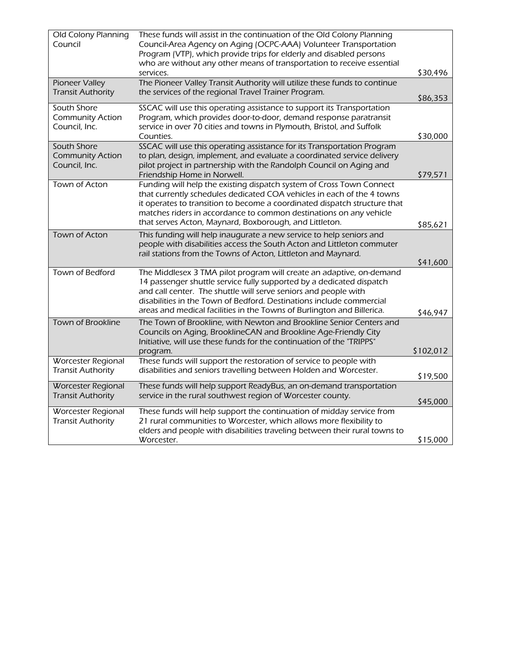| Old Colony Planning<br>Council                          | These funds will assist in the continuation of the Old Colony Planning<br>Council-Area Agency on Aging (OCPC-AAA) Volunteer Transportation                                                                                                                                                                                                                        |           |
|---------------------------------------------------------|-------------------------------------------------------------------------------------------------------------------------------------------------------------------------------------------------------------------------------------------------------------------------------------------------------------------------------------------------------------------|-----------|
|                                                         | Program (VTP), which provide trips for elderly and disabled persons<br>who are without any other means of transportation to receive essential                                                                                                                                                                                                                     |           |
|                                                         | services.                                                                                                                                                                                                                                                                                                                                                         | \$30,496  |
| Pioneer Valley<br><b>Transit Authority</b>              | The Pioneer Valley Transit Authority will utilize these funds to continue<br>the services of the regional Travel Trainer Program.                                                                                                                                                                                                                                 | \$86,353  |
| South Shore<br><b>Community Action</b><br>Council, Inc. | SSCAC will use this operating assistance to support its Transportation<br>Program, which provides door-to-door, demand response paratransit<br>service in over 70 cities and towns in Plymouth, Bristol, and Suffolk                                                                                                                                              |           |
|                                                         | Counties.                                                                                                                                                                                                                                                                                                                                                         | \$30,000  |
| South Shore<br><b>Community Action</b><br>Council, Inc. | SSCAC will use this operating assistance for its Transportation Program<br>to plan, design, implement, and evaluate a coordinated service delivery<br>pilot project in partnership with the Randolph Council on Aging and<br>Friendship Home in Norwell.                                                                                                          | \$79,571  |
| Town of Acton                                           | Funding will help the existing dispatch system of Cross Town Connect<br>that currently schedules dedicated COA vehicles in each of the 4 towns<br>it operates to transition to become a coordinated dispatch structure that<br>matches riders in accordance to common destinations on any vehicle<br>that serves Acton, Maynard, Boxborough, and Littleton.       | \$85,621  |
| <b>Town of Acton</b>                                    | This funding will help inaugurate a new service to help seniors and                                                                                                                                                                                                                                                                                               |           |
|                                                         | people with disabilities access the South Acton and Littleton commuter<br>rail stations from the Towns of Acton, Littleton and Maynard.                                                                                                                                                                                                                           |           |
|                                                         |                                                                                                                                                                                                                                                                                                                                                                   | \$41,600  |
| Town of Bedford                                         | The Middlesex 3 TMA pilot program will create an adaptive, on-demand<br>14 passenger shuttle service fully supported by a dedicated dispatch<br>and call center. The shuttle will serve seniors and people with<br>disabilities in the Town of Bedford. Destinations include commercial<br>areas and medical facilities in the Towns of Burlington and Billerica. | \$46,947  |
| Town of Brookline                                       | The Town of Brookline, with Newton and Brookline Senior Centers and<br>Councils on Aging, BrooklineCAN and Brookline Age-Friendly City<br>Initiative, will use these funds for the continuation of the "TRIPPS"<br>program.                                                                                                                                       | \$102,012 |
| <b>Worcester Regional</b><br><b>Transit Authority</b>   | These funds will support the restoration of service to people with<br>disabilities and seniors travelling between Holden and Worcester.                                                                                                                                                                                                                           | \$19,500  |
| <b>Worcester Regional</b><br><b>Transit Authority</b>   | These funds will help support ReadyBus, an on-demand transportation<br>service in the rural southwest region of Worcester county.                                                                                                                                                                                                                                 | \$45,000  |
| Worcester Regional<br><b>Transit Authority</b>          | These funds will help support the continuation of midday service from<br>21 rural communities to Worcester, which allows more flexibility to<br>elders and people with disabilities traveling between their rural towns to<br>Worcester.                                                                                                                          | \$15,000  |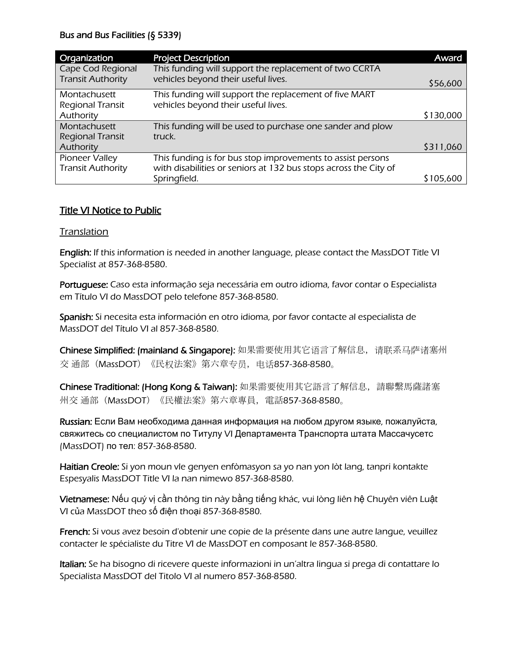| Organization             | <b>Project Description</b>                                       | Award     |
|--------------------------|------------------------------------------------------------------|-----------|
| Cape Cod Regional        | This funding will support the replacement of two CCRTA           |           |
| <b>Transit Authority</b> | vehicles beyond their useful lives.                              | \$56,600  |
| Montachusett             | This funding will support the replacement of five MART           |           |
| Regional Transit         | vehicles beyond their useful lives.                              |           |
| Authority                |                                                                  | \$130,000 |
| Montachusett             | This funding will be used to purchase one sander and plow        |           |
| <b>Regional Transit</b>  | truck.                                                           |           |
| Authority                |                                                                  | \$311,060 |
| Pioneer Valley           | This funding is for bus stop improvements to assist persons      |           |
| <b>Transit Authority</b> | with disabilities or seniors at 132 bus stops across the City of |           |
|                          | Springfield.                                                     | S 105.600 |

## Title VI Notice to Public

### Translation

English: If this information is needed in another language, please contact the MassDOT Title VI Specialist at 857-368-8580.

Portuquese: Caso esta informação seja necessária em outro idioma, favor contar o Especialista em Título VI do MassDOT pelo telefone 857-368-8580.

Spanish: Si necesita esta información en otro idioma, por favor contacte al especialista de MassDOT del Título VI al 857-368-8580.

Chinese Simplified: (mainland & Singapore): 如果需要使用其它语言了解信息, 请联系马萨诸塞州 交 通部(MassDOT)《民权法案》第六章专员,电话857-368-8580。

Chinese Traditional: (Hong Kong & Taiwan): 如果需要使用其它語言了解信息,請聯繫馬薩諸塞 州交 通部(MassDOT)《民權法案》第六章專員,電話857-368-8580。

Russian: Если Вам необходима данная информация на любом другом языке, пожалуйста, свяжитесь со cпециалистом по Титулу VI Департамента Транспорта штата Массачусетс (MassDOT) по тел: 857-368-8580.

Haitian Creole: Si yon moun vle genyen enfòmasyon sa yo nan yon lòt lang, tanpri kontakte Espesyalis MassDOT Title VI la nan nimewo 857-368-8580.

Vietnamese: Nếu quý vị cần thông tin này bằng tiếng khác, vui lòng liên hệ Chuyên viên Luật VI của MassDOT theo số điện thoại 857-368-8580.

French: Si vous avez besoin d'obtenir une copie de la présente dans une autre langue, veuillez contacter le spécialiste du Titre VI de MassDOT en composant le 857-368-8580.

Italian: Se ha bisogno di ricevere queste informazioni in un'altra lingua si prega di contattare lo Specialista MassDOT del Titolo VI al numero 857-368-8580.